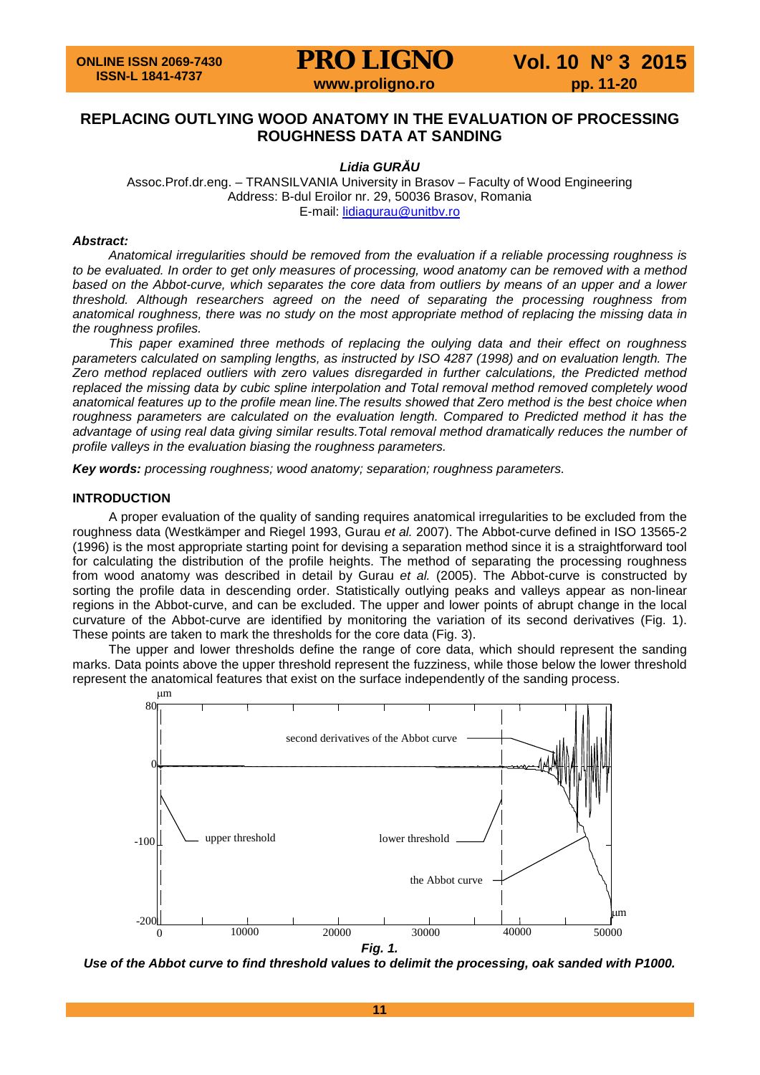# **REPLACING OUTLYING WOOD ANATOMY IN THE EVALUATION OF PROCESSING ROUGHNESS DATA AT SANDING**

# *Lidia GURĂU*

Assoc.Prof.dr.eng. – TRANSILVANIA University in Brasov – Faculty of Wood Engineering Address: B-dul Eroilor nr. 29, 50036 Brasov, Romania E-mail: [lidiagurau@unitbv.ro](mailto:lidiagurau@unitbv.ro)

#### *Abstract:*

*Anatomical irregularities should be removed from the evaluation if a reliable processing roughness is*  to be evaluated. In order to get only measures of processing, wood anatomy can be removed with a method *based on the Abbot-curve, which separates the core data from outliers by means of an upper and a lower threshold. Although researchers agreed on the need of separating the processing roughness from anatomical roughness, there was no study on the most appropriate method of replacing the missing data in the roughness profiles.*

*This paper examined three methods of replacing the oulying data and their effect on roughness parameters calculated on sampling lengths, as instructed by ISO 4287 (1998) and on evaluation length. The Zero method replaced outliers with zero values disregarded in further calculations, the Predicted method replaced the missing data by cubic spline interpolation and Total removal method removed completely wood anatomical features up to the profile mean line.The results showed that Zero method is the best choice when roughness parameters are calculated on the evaluation length. Compared to Predicted method it has the advantage of using real data giving similar results.Total removal method dramatically reduces the number of profile valleys in the evaluation biasing the roughness parameters.*

*Key words: processing roughness; wood anatomy; separation; roughness parameters.*

#### **INTRODUCTION**

A proper evaluation of the quality of sanding requires anatomical irregularities to be excluded from the roughness data (Westkämper and Riegel 1993, Gurau *et al.* 2007). The Abbot-curve defined in ISO 13565-2 (1996) is the most appropriate starting point for devising a separation method since it is a straightforward tool for calculating the distribution of the profile heights. The method of separating the processing roughness from wood anatomy was described in detail by Gurau *et al.* (2005). The Abbot-curve is constructed by sorting the profile data in descending order. Statistically outlying peaks and valleys appear as non-linear regions in the Abbot-curve, and can be excluded. The upper and lower points of abrupt change in the local curvature of the Abbot-curve are identified by monitoring the variation of its second derivatives (Fig. 1). These points are taken to mark the thresholds for the core data (Fig. 3).

The upper and lower thresholds define the range of core data, which should represent the sanding marks. Data points above the upper threshold represent the fuzziness, while those below the lower threshold represent the anatomical features that exist on the surface independently of the sanding process.



*Fig. 1.*

*Use of the Abbot curve to find threshold values to delimit the processing, oak sanded with P1000.*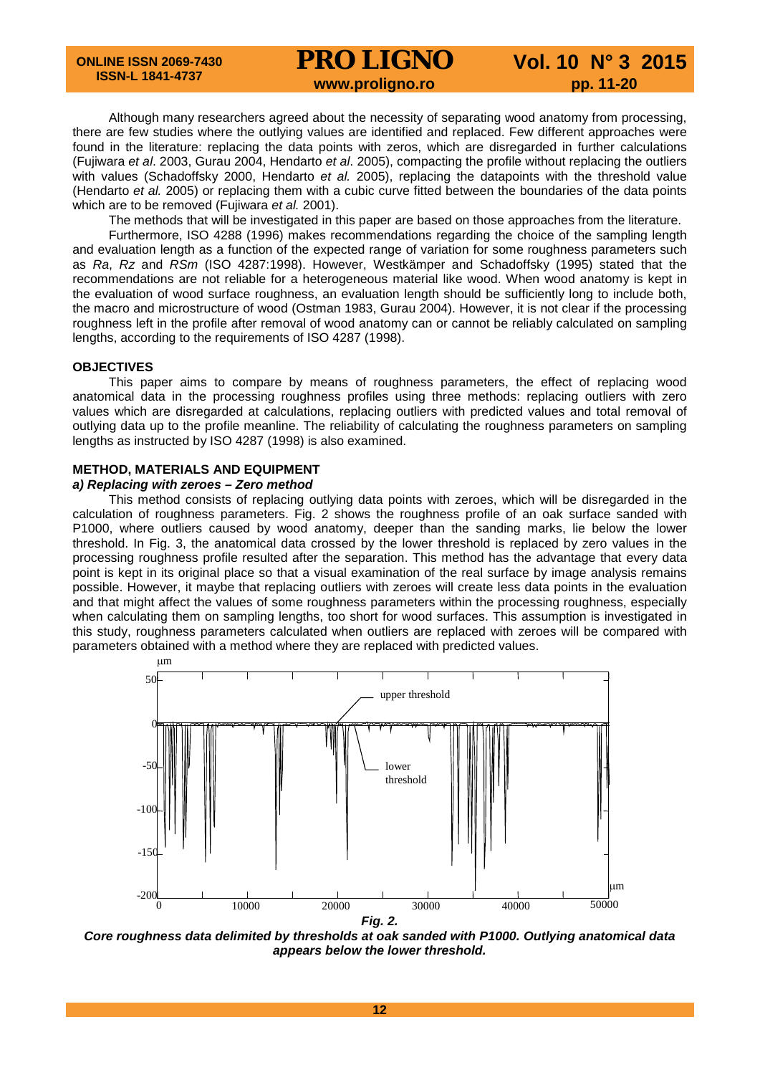# **PRO LIGNO** Vol. 10 N° 3 2015<br>www.proligno.ro pp. 11-20

Although many researchers agreed about the necessity of separating wood anatomy from processing, there are few studies where the outlying values are identified and replaced. Few different approaches were found in the literature: replacing the data points with zeros, which are disregarded in further calculations (Fujiwara *et al*. 2003, Gurau 2004, Hendarto *et al*. 2005), compacting the profile without replacing the outliers with values (Schadoffsky 2000, Hendarto *et al.* 2005), replacing the datapoints with the threshold value (Hendarto *et al.* 2005) or replacing them with a cubic curve fitted between the boundaries of the data points which are to be removed (Fujiwara *et al.* 2001).

The methods that will be investigated in this paper are based on those approaches from the literature.

Furthermore, ISO 4288 (1996) makes recommendations regarding the choice of the sampling length and evaluation length as a function of the expected range of variation for some roughness parameters such as *Ra*, *Rz* and *RSm* (ISO 4287:1998). However, Westkämper and Schadoffsky (1995) stated that the recommendations are not reliable for a heterogeneous material like wood. When wood anatomy is kept in the evaluation of wood surface roughness, an evaluation length should be sufficiently long to include both, the macro and microstructure of wood (Ostman 1983, Gurau 2004). However, it is not clear if the processing roughness left in the profile after removal of wood anatomy can or cannot be reliably calculated on sampling lengths, according to the requirements of ISO 4287 (1998).

#### **OBJECTIVES**

This paper aims to compare by means of roughness parameters, the effect of replacing wood anatomical data in the processing roughness profiles using three methods: replacing outliers with zero values which are disregarded at calculations, replacing outliers with predicted values and total removal of outlying data up to the profile meanline. The reliability of calculating the roughness parameters on sampling lengths as instructed by ISO 4287 (1998) is also examined.

# **METHOD, MATERIALS AND EQUIPMENT**

# *a) Replacing with zeroes – Zero method*

This method consists of replacing outlying data points with zeroes, which will be disregarded in the calculation of roughness parameters. Fig. 2 shows the roughness profile of an oak surface sanded with P1000, where outliers caused by wood anatomy, deeper than the sanding marks, lie below the lower threshold. In Fig. 3, the anatomical data crossed by the lower threshold is replaced by zero values in the processing roughness profile resulted after the separation. This method has the advantage that every data point is kept in its original place so that a visual examination of the real surface by image analysis remains possible. However, it maybe that replacing outliers with zeroes will create less data points in the evaluation and that might affect the values of some roughness parameters within the processing roughness, especially when calculating them on sampling lengths, too short for wood surfaces. This assumption is investigated in this study, roughness parameters calculated when outliers are replaced with zeroes will be compared with parameters obtained with a method where they are replaced with predicted values.



*Core roughness data delimited by thresholds at oak sanded with P1000. Outlying anatomical data appears below the lower threshold.*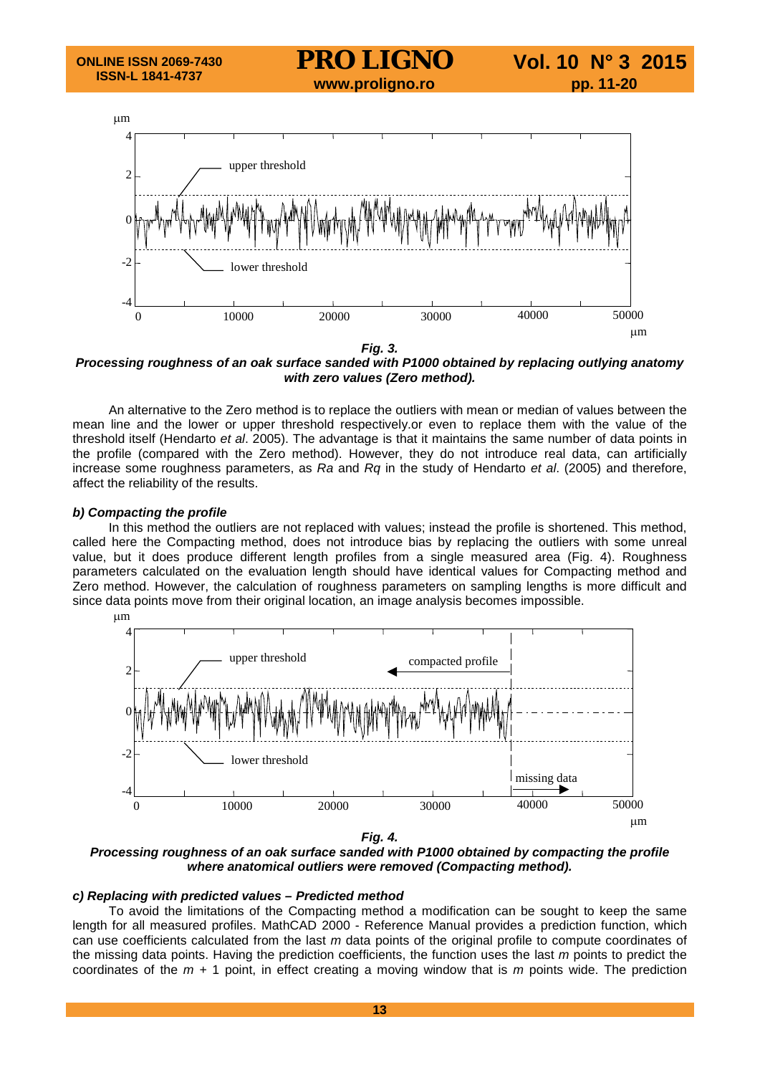

*Processing roughness of an oak surface sanded with P1000 obtained by replacing outlying anatomy with zero values (Zero method).*

An alternative to the Zero method is to replace the outliers with mean or median of values between the mean line and the lower or upper threshold respectively.or even to replace them with the value of the threshold itself (Hendarto *et al*. 2005). The advantage is that it maintains the same number of data points in the profile (compared with the Zero method). However, they do not introduce real data, can artificially increase some roughness parameters, as *Ra* and *Rq* in the study of Hendarto *et al*. (2005) and therefore, affect the reliability of the results.

# *b) Compacting the profile*

In this method the outliers are not replaced with values; instead the profile is shortened. This method, called here the Compacting method, does not introduce bias by replacing the outliers with some unreal value, but it does produce different length profiles from a single measured area (Fig. 4). Roughness parameters calculated on the evaluation length should have identical values for Compacting method and Zero method. However, the calculation of roughness parameters on sampling lengths is more difficult and since data points move from their original location, an image analysis becomes impossible.



*Fig. 4.*

*Processing roughness of an oak surface sanded with P1000 obtained by compacting the profile where anatomical outliers were removed (Compacting method).*

# *c) Replacing with predicted values – Predicted method*

To avoid the limitations of the Compacting method a modification can be sought to keep the same length for all measured profiles. MathCAD 2000 - Reference Manual provides a prediction function, which can use coefficients calculated from the last *m* data points of the original profile to compute coordinates of the missing data points. Having the prediction coefficients, the function uses the last *m* points to predict the coordinates of the *m +* 1 point, in effect creating a moving window that is *m* points wide. The prediction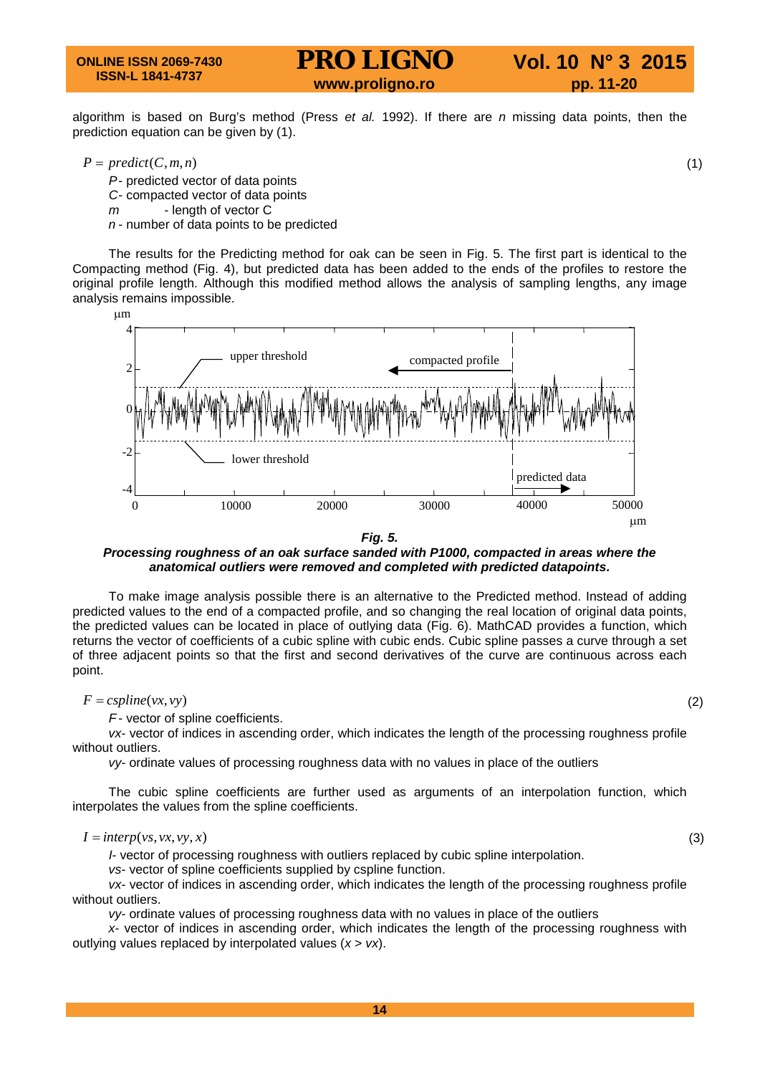algorithm is based on Burg's method (Press *et al.* 1992). If there are *n* missing data points, then the prediction equation can be given by (1).

 $P = predict(C, m, n)$  (1)

- *P* predicted vector of data points
- *C* compacted vector of data points
- *m* length of vector C
- *n* number of data points to be predicted

The results for the Predicting method for oak can be seen in Fig. 5. The first part is identical to the Compacting method (Fig. 4), but predicted data has been added to the ends of the profiles to restore the original profile length. Although this modified method allows the analysis of sampling lengths, any image analysis remains impossible.



*Fig. 5.*

*Processing roughness of an oak surface sanded with P1000, compacted in areas where the anatomical outliers were removed and completed with predicted datapoints.*

To make image analysis possible there is an alternative to the Predicted method. Instead of adding predicted values to the end of a compacted profile, and so changing the real location of original data points, the predicted values can be located in place of outlying data (Fig. 6). MathCAD provides a function, which returns the vector of coefficients of a cubic spline with cubic ends. Cubic spline passes a curve through a set of three adjacent points so that the first and second derivatives of the curve are continuous across each point.

 $F = c \text{ spline}(vx, vy)$  (2)

*F* - vector of spline coefficients.

*vx*- vector of indices in ascending order, which indicates the length of the processing roughness profile without outliers.

*vy*- ordinate values of processing roughness data with no values in place of the outliers

The cubic spline coefficients are further used as arguments of an interpolation function, which interpolates the values from the spline coefficients.

#### $I = \text{interp}(v_s, v_x, v_y, x)$  (3)

*I*- vector of processing roughness with outliers replaced by cubic spline interpolation.

*vs*- vector of spline coefficients supplied by cspline function.

*vx*- vector of indices in ascending order, which indicates the length of the processing roughness profile without outliers.

*vy*- ordinate values of processing roughness data with no values in place of the outliers

*x*- vector of indices in ascending order, which indicates the length of the processing roughness with outlying values replaced by interpolated values (*x* > *vx*).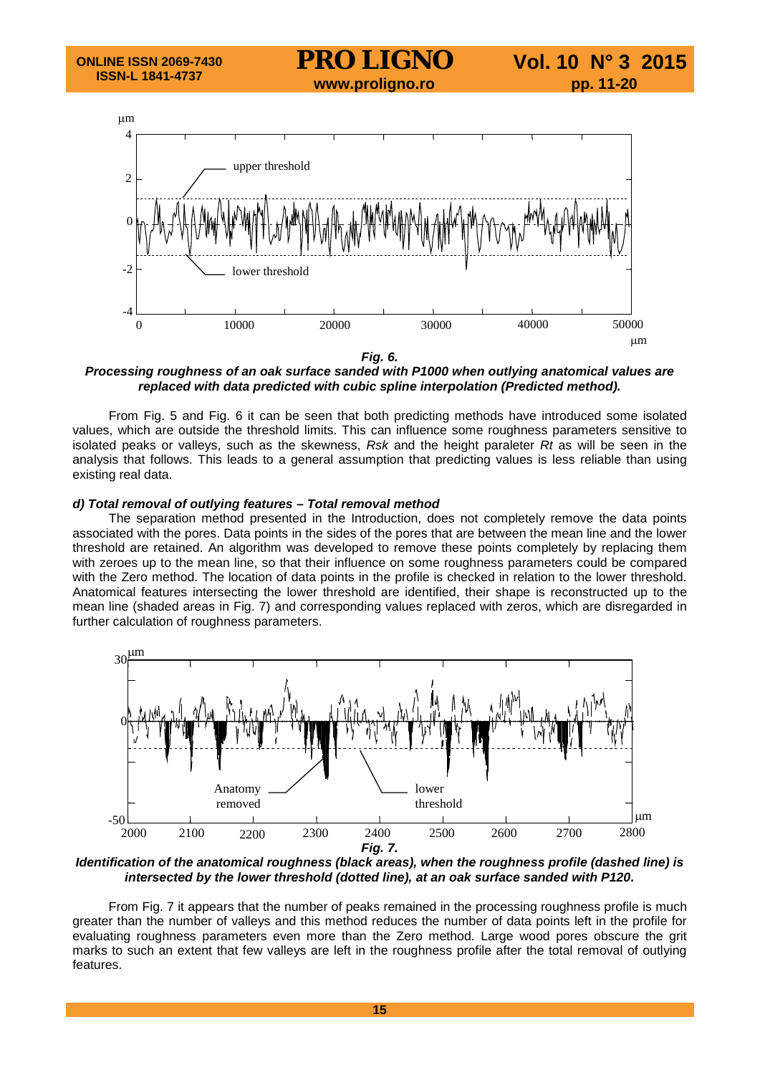

*Fig. 6.*

*Processing roughness of an oak surface sanded with P1000 when outlying anatomical values are replaced with data predicted with cubic spline interpolation (Predicted method).*

From Fig. 5 and Fig. 6 it can be seen that both predicting methods have introduced some isolated values, which are outside the threshold limits. This can influence some roughness parameters sensitive to isolated peaks or valleys, such as the skewness, *Rsk* and the height paraleter *Rt* as will be seen in the analysis that follows. This leads to a general assumption that predicting values is less reliable than using existing real data.

# *d) Total removal of outlying features – Total removal method*

The separation method presented in the Introduction, does not completely remove the data points associated with the pores. Data points in the sides of the pores that are between the mean line and the lower threshold are retained. An algorithm was developed to remove these points completely by replacing them with zeroes up to the mean line, so that their influence on some roughness parameters could be compared with the Zero method. The location of data points in the profile is checked in relation to the lower threshold. Anatomical features intersecting the lower threshold are identified, their shape is reconstructed up to the mean line (shaded areas in Fig. 7) and corresponding values replaced with zeros, which are disregarded in further calculation of roughness parameters.



*Identification of the anatomical roughness (black areas), when the roughness profile (dashed line) is intersected by the lower threshold (dotted line), at an oak surface sanded with P120.*

From Fig. 7 it appears that the number of peaks remained in the processing roughness profile is much greater than the number of valleys and this method reduces the number of data points left in the profile for evaluating roughness parameters even more than the Zero method. Large wood pores obscure the grit marks to such an extent that few valleys are left in the roughness profile after the total removal of outlying features.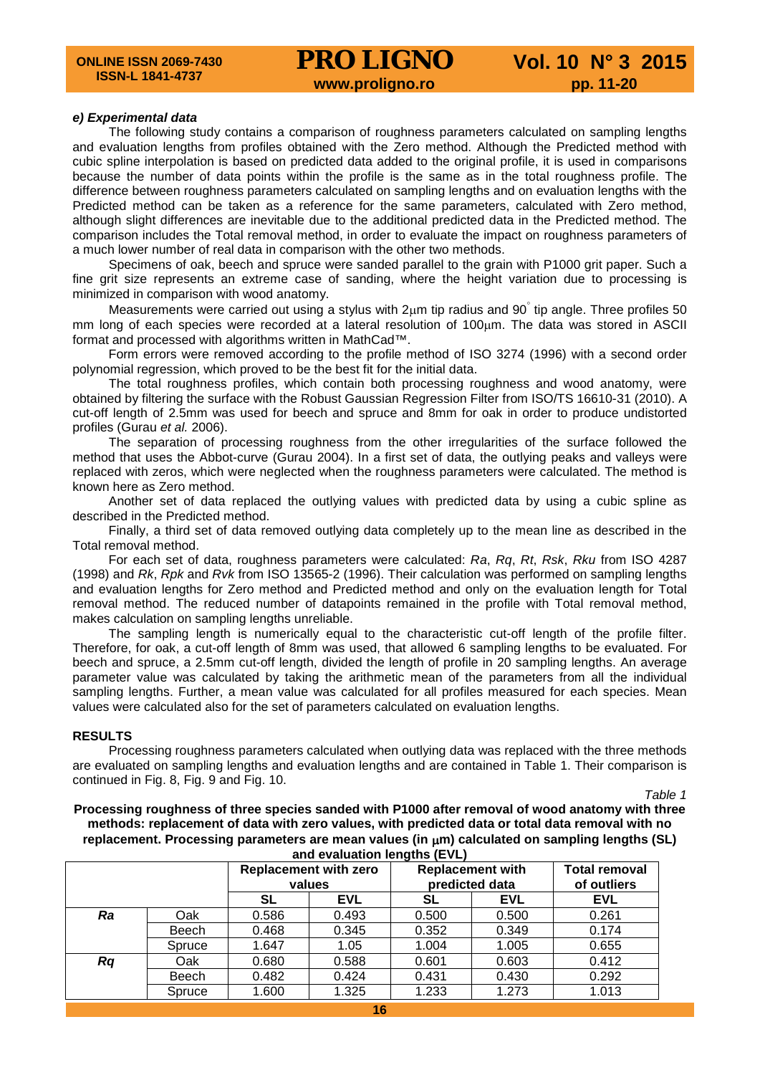#### *e) Experimental data*

The following study contains a comparison of roughness parameters calculated on sampling lengths and evaluation lengths from profiles obtained with the Zero method. Although the Predicted method with cubic spline interpolation is based on predicted data added to the original profile, it is used in comparisons because the number of data points within the profile is the same as in the total roughness profile. The difference between roughness parameters calculated on sampling lengths and on evaluation lengths with the Predicted method can be taken as a reference for the same parameters, calculated with Zero method, although slight differences are inevitable due to the additional predicted data in the Predicted method. The comparison includes the Total removal method, in order to evaluate the impact on roughness parameters of a much lower number of real data in comparison with the other two methods.

Specimens of oak, beech and spruce were sanded parallel to the grain with P1000 grit paper. Such a fine grit size represents an extreme case of sanding, where the height variation due to processing is minimized in comparison with wood anatomy.

Measurements were carried out using a stylus with  $2\mu m$  tip radius and 90° tip angle. Three profiles 50 mm long of each species were recorded at a lateral resolution of 100µm. The data was stored in ASCII format and processed with algorithms written in MathCad™.

Form errors were removed according to the profile method of ISO 3274 (1996) with a second order polynomial regression, which proved to be the best fit for the initial data.

The total roughness profiles, which contain both processing roughness and wood anatomy, were obtained by filtering the surface with the Robust Gaussian Regression Filter from ISO/TS 16610-31 (2010). A cut-off length of 2.5mm was used for beech and spruce and 8mm for oak in order to produce undistorted profiles (Gurau *et al.* 2006).

The separation of processing roughness from the other irregularities of the surface followed the method that uses the Abbot-curve (Gurau 2004). In a first set of data, the outlying peaks and valleys were replaced with zeros, which were neglected when the roughness parameters were calculated. The method is known here as Zero method.

Another set of data replaced the outlying values with predicted data by using a cubic spline as described in the Predicted method.

Finally, a third set of data removed outlying data completely up to the mean line as described in the Total removal method.

For each set of data, roughness parameters were calculated: *Ra*, *Rq*, *Rt*, *Rsk*, *Rku* from ISO 4287 (1998) and *Rk*, *Rpk* and *Rvk* from ISO 13565-2 (1996). Their calculation was performed on sampling lengths and evaluation lengths for Zero method and Predicted method and only on the evaluation length for Total removal method. The reduced number of datapoints remained in the profile with Total removal method, makes calculation on sampling lengths unreliable.

The sampling length is numerically equal to the characteristic cut-off length of the profile filter. Therefore, for oak, a cut-off length of 8mm was used, that allowed 6 sampling lengths to be evaluated. For beech and spruce, a 2.5mm cut-off length, divided the length of profile in 20 sampling lengths. An average parameter value was calculated by taking the arithmetic mean of the parameters from all the individual sampling lengths. Further, a mean value was calculated for all profiles measured for each species. Mean values were calculated also for the set of parameters calculated on evaluation lengths.

# **RESULTS**

Processing roughness parameters calculated when outlying data was replaced with the three methods are evaluated on sampling lengths and evaluation lengths and are contained in Table 1. Their comparison is continued in Fig. 8, Fig. 9 and Fig. 10.

*Table 1*

**Processing roughness of three species sanded with P1000 after removal of wood anatomy with three methods: replacement of data with zero values, with predicted data or total data removal with no replacement. Processing parameters are mean values (in** µ**m) calculated on sampling lengths (SL) and evaluation lengths (EVL)**

|    |        | <b>Replacement with zero</b><br>values |            | <b>Replacement with</b><br>predicted data |            | <b>Total removal</b><br>of outliers |
|----|--------|----------------------------------------|------------|-------------------------------------------|------------|-------------------------------------|
|    |        | SL                                     | <b>EVL</b> | SL                                        | <b>EVL</b> | <b>EVL</b>                          |
| Ra | Oak    | 0.586                                  | 0.493      | 0.500                                     | 0.500      | 0.261                               |
|    | Beech  | 0.468                                  | 0.345      | 0.352                                     | 0.349      | 0.174                               |
|    | Spruce | 1.647                                  | 1.05       | 1.004                                     | 1.005      | 0.655                               |
| Rq | Oak    | 0.680                                  | 0.588      | 0.601                                     | 0.603      | 0.412                               |
|    | Beech  | 0.482                                  | 0.424      | 0.431                                     | 0.430      | 0.292                               |
|    | Spruce | 1.600                                  | 1.325      | 1.233                                     | 1.273      | 1.013                               |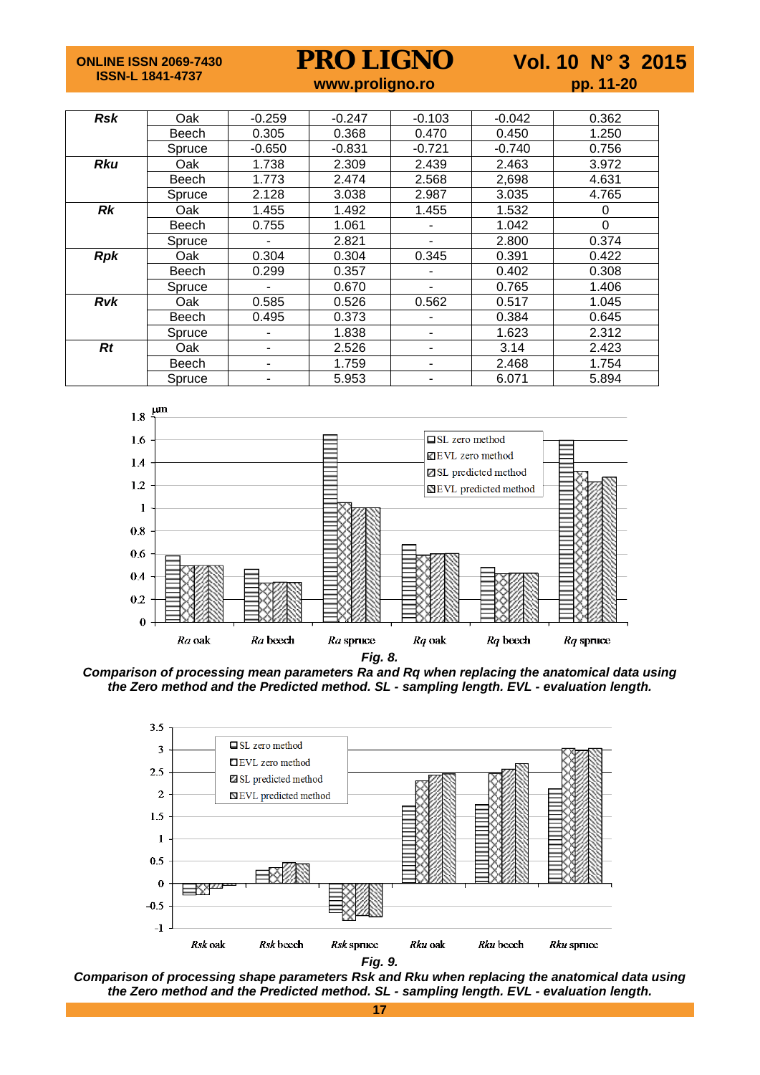**ONLINE ISSN 2069-7430 ISSN-L 1841-4737**

**PRO LIGNO** Vol. 10 N° 3 2015<br>www.proligno.ro pp. 11-20

| www.proligno.ro |  |  |
|-----------------|--|--|
|                 |  |  |
|                 |  |  |

| <b>Rsk</b> | Oak          | $-0.259$ | $-0.247$ | $-0.103$ | $-0.042$ | 0.362 |
|------------|--------------|----------|----------|----------|----------|-------|
|            | Beech        | 0.305    | 0.368    | 0.470    | 0.450    | 1.250 |
|            | Spruce       | $-0.650$ | $-0.831$ | $-0.721$ | $-0.740$ | 0.756 |
| <b>Rku</b> | Oak          | 1.738    | 2.309    | 2.439    | 2.463    | 3.972 |
|            | Beech        | 1.773    | 2.474    | 2.568    | 2,698    | 4.631 |
|            | Spruce       | 2.128    | 3.038    | 2.987    | 3.035    | 4.765 |
| <b>Rk</b>  | Oak          | 1.455    | 1.492    | 1.455    | 1.532    | 0     |
|            | Beech        | 0.755    | 1.061    |          | 1.042    | 0     |
|            | Spruce       |          | 2.821    |          | 2.800    | 0.374 |
| <b>Rpk</b> | Oak          | 0.304    | 0.304    | 0.345    | 0.391    | 0.422 |
|            | <b>Beech</b> | 0.299    | 0.357    |          | 0.402    | 0.308 |
|            | Spruce       |          | 0.670    |          | 0.765    | 1.406 |
| <b>Rvk</b> | Oak          | 0.585    | 0.526    | 0.562    | 0.517    | 1.045 |
|            | <b>Beech</b> | 0.495    | 0.373    |          | 0.384    | 0.645 |
|            | Spruce       |          | 1.838    | ۰        | 1.623    | 2.312 |
| Rt         | Oak          | ۰        | 2.526    | ۰        | 3.14     | 2.423 |
|            | Beech        |          | 1.759    | ۰        | 2.468    | 1.754 |
|            | Spruce       |          | 5.953    |          | 6.071    | 5.894 |







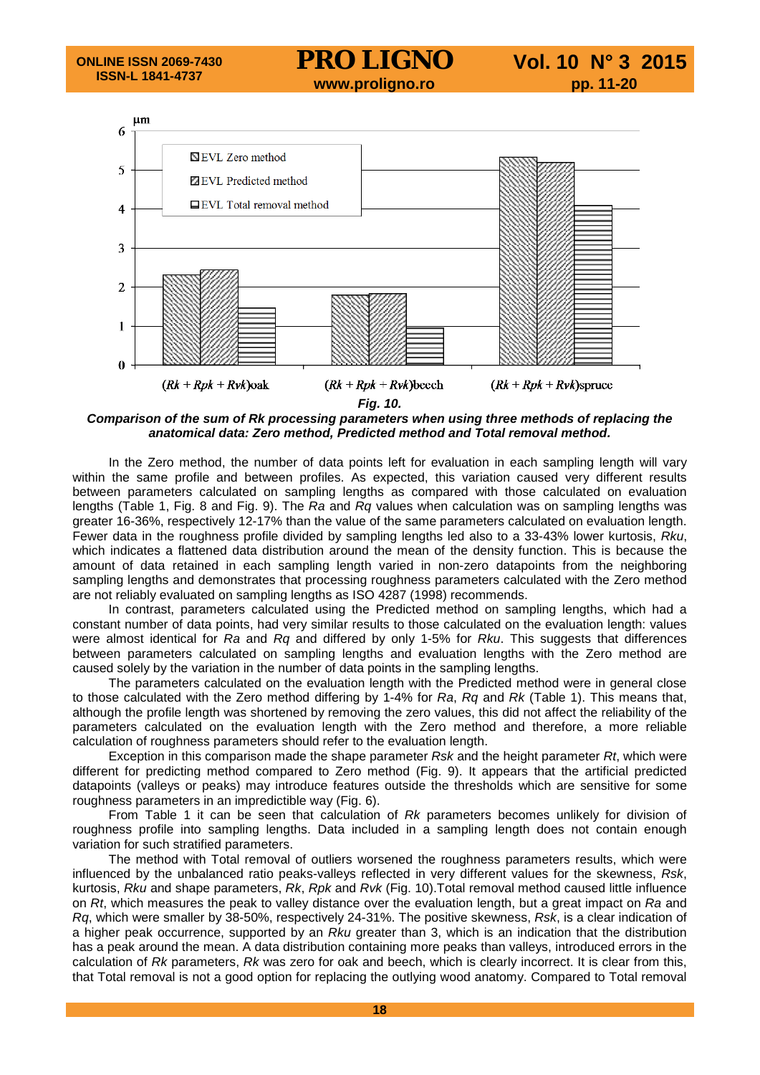

*Fig. 10.*

*Comparison of the sum of Rk processing parameters when using three methods of replacing the anatomical data: Zero method, Predicted method and Total removal method.*

In the Zero method, the number of data points left for evaluation in each sampling length will vary within the same profile and between profiles. As expected, this variation caused very different results between parameters calculated on sampling lengths as compared with those calculated on evaluation lengths (Table 1, Fig. 8 and Fig. 9). The *Ra* and *Rq* values when calculation was on sampling lengths was greater 16-36%, respectively 12-17% than the value of the same parameters calculated on evaluation length. Fewer data in the roughness profile divided by sampling lengths led also to a 33-43% lower kurtosis, *Rku*, which indicates a flattened data distribution around the mean of the density function. This is because the amount of data retained in each sampling length varied in non-zero datapoints from the neighboring sampling lengths and demonstrates that processing roughness parameters calculated with the Zero method are not reliably evaluated on sampling lengths as ISO 4287 (1998) recommends.

In contrast, parameters calculated using the Predicted method on sampling lengths, which had a constant number of data points, had very similar results to those calculated on the evaluation length: values were almost identical for *Ra* and *Rq* and differed by only 1-5% for *Rku*. This suggests that differences between parameters calculated on sampling lengths and evaluation lengths with the Zero method are caused solely by the variation in the number of data points in the sampling lengths.

The parameters calculated on the evaluation length with the Predicted method were in general close to those calculated with the Zero method differing by 1-4% for *Ra*, *Rq* and *Rk* (Table 1). This means that, although the profile length was shortened by removing the zero values, this did not affect the reliability of the parameters calculated on the evaluation length with the Zero method and therefore, a more reliable calculation of roughness parameters should refer to the evaluation length.

Exception in this comparison made the shape parameter *Rsk* and the height parameter *Rt*, which were different for predicting method compared to Zero method (Fig. 9). It appears that the artificial predicted datapoints (valleys or peaks) may introduce features outside the thresholds which are sensitive for some roughness parameters in an impredictible way (Fig. 6).

From Table 1 it can be seen that calculation of *Rk* parameters becomes unlikely for division of roughness profile into sampling lengths. Data included in a sampling length does not contain enough variation for such stratified parameters.

The method with Total removal of outliers worsened the roughness parameters results, which were influenced by the unbalanced ratio peaks-valleys reflected in very different values for the skewness, *Rsk*, kurtosis, *Rku* and shape parameters, *Rk*, *Rpk* and *Rvk* (Fig. 10).Total removal method caused little influence on *Rt*, which measures the peak to valley distance over the evaluation length, but a great impact on *Ra* and *Rq*, which were smaller by 38-50%, respectively 24-31%. The positive skewness, *Rsk*, is a clear indication of a higher peak occurrence, supported by an *Rku* greater than 3, which is an indication that the distribution has a peak around the mean. A data distribution containing more peaks than valleys, introduced errors in the calculation of *Rk* parameters, *Rk* was zero for oak and beech, which is clearly incorrect. It is clear from this, that Total removal is not a good option for replacing the outlying wood anatomy. Compared to Total removal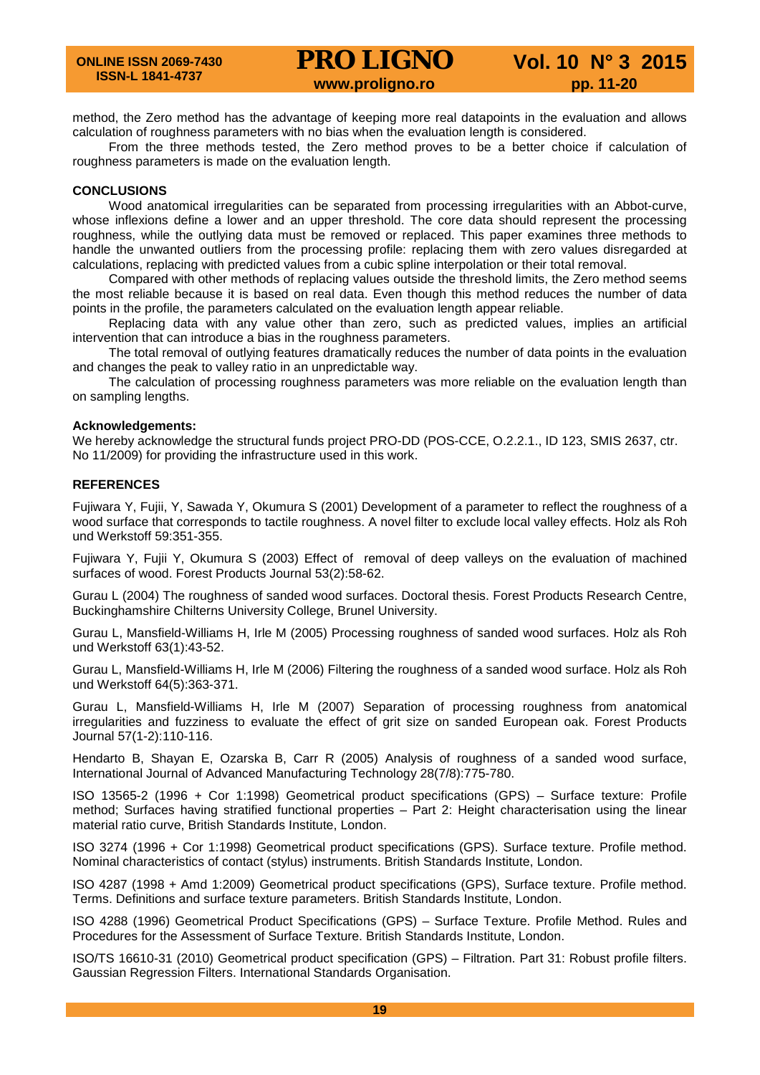method, the Zero method has the advantage of keeping more real datapoints in the evaluation and allows calculation of roughness parameters with no bias when the evaluation length is considered.

From the three methods tested, the Zero method proves to be a better choice if calculation of roughness parameters is made on the evaluation length.

## **CONCLUSIONS**

Wood anatomical irregularities can be separated from processing irregularities with an Abbot-curve, whose inflexions define a lower and an upper threshold. The core data should represent the processing roughness, while the outlying data must be removed or replaced. This paper examines three methods to handle the unwanted outliers from the processing profile: replacing them with zero values disregarded at calculations, replacing with predicted values from a cubic spline interpolation or their total removal.

Compared with other methods of replacing values outside the threshold limits, the Zero method seems the most reliable because it is based on real data. Even though this method reduces the number of data points in the profile, the parameters calculated on the evaluation length appear reliable.

Replacing data with any value other than zero, such as predicted values, implies an artificial intervention that can introduce a bias in the roughness parameters.

The total removal of outlying features dramatically reduces the number of data points in the evaluation and changes the peak to valley ratio in an unpredictable way.

The calculation of processing roughness parameters was more reliable on the evaluation length than on sampling lengths.

#### **Acknowledgements:**

We hereby acknowledge the structural funds project PRO-DD (POS-CCE, O.2.2.1., ID 123, SMIS 2637, ctr. No 11/2009) for providing the infrastructure used in this work.

## **REFERENCES**

Fujiwara Y, Fujii, Y, Sawada Y, Okumura S (2001) Development of a parameter to reflect the roughness of a wood surface that corresponds to tactile roughness. A novel filter to exclude local valley effects. Holz als Roh und Werkstoff 59:351-355.

Fujiwara Y, Fujii Y, Okumura S (2003) Effect of removal of deep valleys on the evaluation of machined surfaces of wood. Forest Products Journal 53(2):58-62.

Gurau L (2004) The roughness of sanded wood surfaces. Doctoral thesis. Forest Products Research Centre, Buckinghamshire Chilterns University College, Brunel University.

Gurau L, Mansfield-Williams H, Irle M (2005) Processing roughness of sanded wood surfaces. Holz als Roh und Werkstoff 63(1):43-52.

Gurau L, Mansfield-Williams H, Irle M (2006) Filtering the roughness of a sanded wood surface. Holz als Roh und Werkstoff 64(5):363-371.

Gurau L, Mansfield-Williams H, Irle M (2007) Separation of processing roughness from anatomical irregularities and fuzziness to evaluate the effect of grit size on sanded European oak. Forest Products Journal 57(1-2):110-116.

Hendarto B, Shayan E, Ozarska B, Carr R (2005) Analysis of roughness of a sanded wood surface, International Journal of Advanced Manufacturing Technology 28(7/8):775-780.

ISO 13565-2 (1996 + Cor 1:1998) Geometrical product specifications (GPS) – Surface texture: Profile method; Surfaces having stratified functional properties – Part 2: Height characterisation using the linear material ratio curve, British Standards Institute, London.

ISO 3274 (1996 + Cor 1:1998) Geometrical product specifications (GPS). Surface texture. Profile method. Nominal characteristics of contact (stylus) instruments. British Standards Institute, London.

ISO 4287 (1998 + Amd 1:2009) Geometrical product specifications (GPS), Surface texture. Profile method. Terms. Definitions and surface texture parameters. British Standards Institute, London.

ISO 4288 (1996) Geometrical Product Specifications (GPS) – Surface Texture. Profile Method. Rules and Procedures for the Assessment of Surface Texture. British Standards Institute, London.

ISO/TS 16610-31 (2010) Geometrical product specification (GPS) – Filtration. Part 31: Robust profile filters. Gaussian Regression Filters. International Standards Organisation.